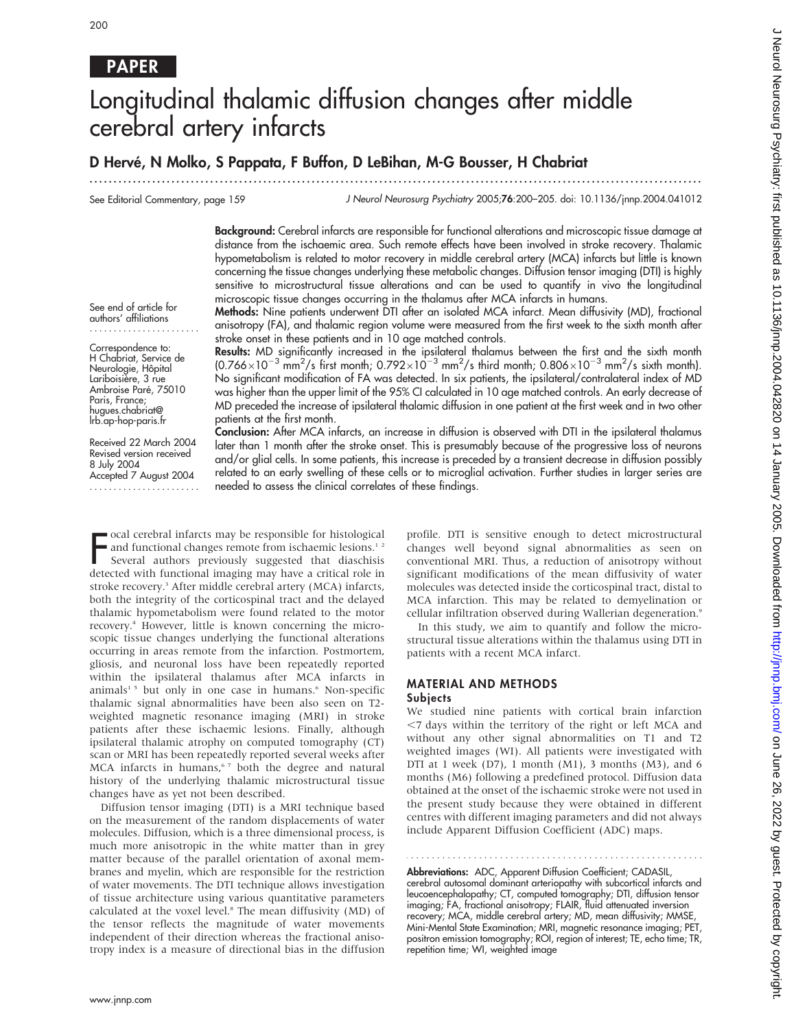# PAPER

# Longitudinal thalamic diffusion changes after middle cerebral artery infarcts

...............................................................................................................................

## D Hervé, N Molko, S Pappata, F Buffon, D LeBihan, M-G Bousser, H Chabriat

See Editorial Commentary, page 159

J Neurol Neurosurg Psychiatry 2005;76:200–205. doi: 10.1136/jnnp.2004.041012

Background: Cerebral infarcts are responsible for functional alterations and microscopic tissue damage at distance from the ischaemic area. Such remote effects have been involved in stroke recovery. Thalamic hypometabolism is related to motor recovery in middle cerebral artery (MCA) infarcts but little is known concerning the tissue changes underlying these metabolic changes. Diffusion tensor imaging (DTI) is highly sensitive to microstructural tissue alterations and can be used to quantify in vivo the longitudinal microscopic tissue changes occurring in the thalamus after MCA infarcts in humans.

See end of article for authors' affiliations .......................

Correspondence to: H Chabriat, Service de Neurologie, Hôpital Lariboisière, 3 rue Ambroise Paré, 75010 Paris, France; hugues.chabriat@ lrb.ap-hop-paris.fr

Received 22 March 2004 Revised version received 8 July 2004 Accepted 7 August 2004 ....................... Methods: Nine patients underwent DTI after an isolated MCA infarct. Mean diffusivity (MD), fractional anisotropy (FA), and thalamic region volume were measured from the first week to the sixth month after stroke onset in these patients and in 10 age matched controls.

Results: MD significantly increased in the ipsilateral thalamus between the first and the sixth month (0.766 $\times$ 10<sup>-3</sup> mm<sup>2</sup>/s first month; 0.792 $\times$ 10<sup>-3</sup> mm<sup>2</sup>/s third month; 0.806 $\times$ 10<sup>-3</sup> mm<sup>2</sup>/s sixth month). No significant modification of FA was detected. In six patients, the ipsilateral/contralateral index of MD was higher than the upper limit of the 95% CI calculated in 10 age matched controls. An early decrease of MD preceded the increase of ipsilateral thalamic diffusion in one patient at the first week and in two other patients at the first month.

Conclusion: After MCA infarcts, an increase in diffusion is observed with DTI in the ipsilateral thalamus later than 1 month after the stroke onset. This is presumably because of the progressive loss of neurons and/or glial cells. In some patients, this increase is preceded by a transient decrease in diffusion possibly related to an early swelling of these cells or to microglial activation. Further studies in larger series are needed to assess the clinical correlates of these findings.

ocal cerebral infarcts may be responsible for histological and functional changes remote from ischaemic lesions.<sup>12</sup>

Focal cerebral infarcts may be responsible for histological<br>and functional changes remote from ischaemic lesions.<sup>12</sup><br>Several authors previously suggested that diaschisis<br>detected with functional imaging may have a critica Several authors previously suggested that diaschisis stroke recovery.<sup>3</sup> After middle cerebral artery (MCA) infarcts, both the integrity of the corticospinal tract and the delayed thalamic hypometabolism were found related to the motor recovery.4 However, little is known concerning the microscopic tissue changes underlying the functional alterations occurring in areas remote from the infarction. Postmortem, gliosis, and neuronal loss have been repeatedly reported within the ipsilateral thalamus after MCA infarcts in animals<sup>15</sup> but only in one case in humans.<sup>6</sup> Non-specific thalamic signal abnormalities have been also seen on T2 weighted magnetic resonance imaging (MRI) in stroke patients after these ischaemic lesions. Finally, although ipsilateral thalamic atrophy on computed tomography (CT) scan or MRI has been repeatedly reported several weeks after MCA infarcts in humans,<sup>67</sup> both the degree and natural history of the underlying thalamic microstructural tissue changes have as yet not been described.

Diffusion tensor imaging (DTI) is a MRI technique based on the measurement of the random displacements of water molecules. Diffusion, which is a three dimensional process, is much more anisotropic in the white matter than in grey matter because of the parallel orientation of axonal membranes and myelin, which are responsible for the restriction of water movements. The DTI technique allows investigation of tissue architecture using various quantitative parameters calculated at the voxel level.8 The mean diffusivity (MD) of the tensor reflects the magnitude of water movements independent of their direction whereas the fractional anisotropy index is a measure of directional bias in the diffusion

profile. DTI is sensitive enough to detect microstructural changes well beyond signal abnormalities as seen on conventional MRI. Thus, a reduction of anisotropy without significant modifications of the mean diffusivity of water molecules was detected inside the corticospinal tract, distal to MCA infarction. This may be related to demyelination or cellular infiltration observed during Wallerian degeneration.9

In this study, we aim to quantify and follow the microstructural tissue alterations within the thalamus using DTI in patients with a recent MCA infarct.

#### MATERIAL AND METHODS **Subjects**

We studied nine patients with cortical brain infarction  $<$ 7 days within the territory of the right or left MCA and without any other signal abnormalities on T1 and T2 weighted images (WI). All patients were investigated with DTI at 1 week (D7), 1 month (M1), 3 months (M3), and 6 months (M6) following a predefined protocol. Diffusion data obtained at the onset of the ischaemic stroke were not used in the present study because they were obtained in different centres with different imaging parameters and did not always include Apparent Diffusion Coefficient (ADC) maps.

Abbreviations: ADC, Apparent Diffusion Coefficient; CADASIL, cerebral autosomal dominant arteriopathy with subcortical infarcts and leucoencephalopathy; CT, computed tomography; DTI, diffusion tensor imaging; FA, fractional anisotropy; FLAIR, fluid attenuated inversion recovery; MCA, middle cerebral artery; MD, mean diffusivity; MMSE, Mini-Mental State Examination; MRI, magnetic resonance imaging; PET, positron emission tomography; ROI, region of interest; TE, echo time; TR, repetition time; WI, weighted image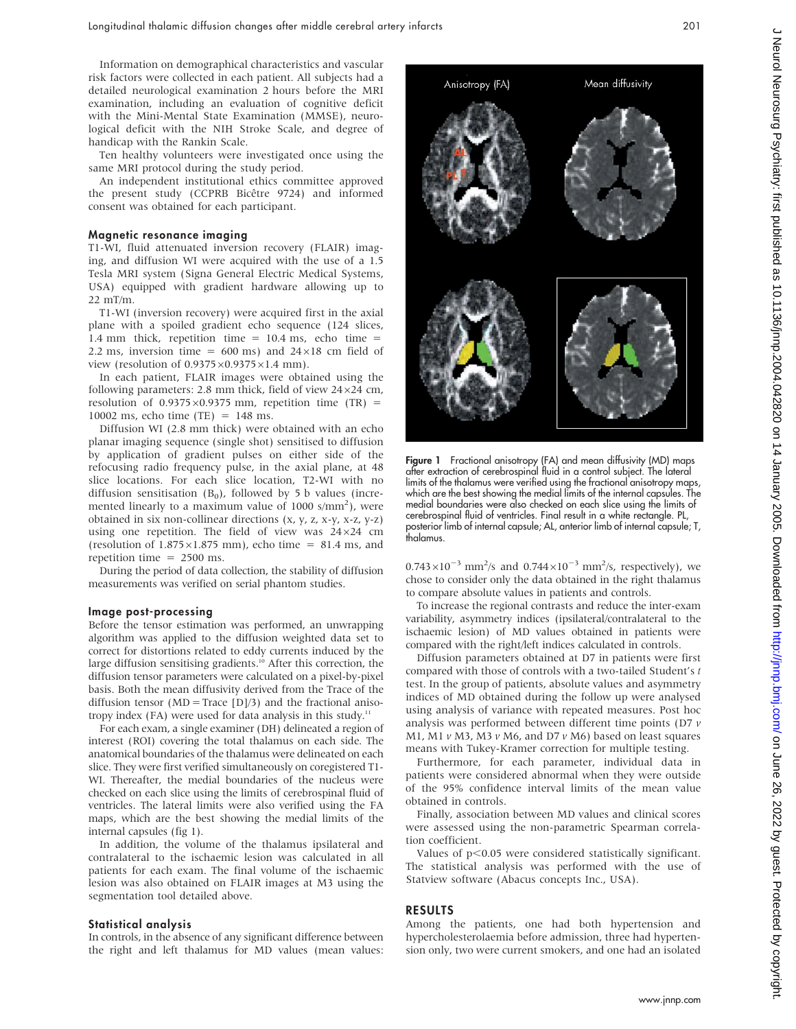Information on demographical characteristics and vascular risk factors were collected in each patient. All subjects had a detailed neurological examination 2 hours before the MRI examination, including an evaluation of cognitive deficit with the Mini-Mental State Examination (MMSE), neurological deficit with the NIH Stroke Scale, and degree of handicap with the Rankin Scale.

Ten healthy volunteers were investigated once using the same MRI protocol during the study period.

An independent institutional ethics committee approved the present study (CCPRB Bicêtre 9724) and informed consent was obtained for each participant.

#### Magnetic resonance imaging

T1-WI, fluid attenuated inversion recovery (FLAIR) imaging, and diffusion WI were acquired with the use of a 1.5 Tesla MRI system (Signa General Electric Medical Systems, USA) equipped with gradient hardware allowing up to 22 mT/m.

T1-WI (inversion recovery) were acquired first in the axial plane with a spoiled gradient echo sequence (124 slices, 1.4 mm thick, repetition time = 10.4 ms, echo time = 2.2 ms, inversion time =  $600 \text{ ms}$ ) and  $24 \times 18 \text{ cm}$  field of view (resolution of  $0.9375\times0.9375\times1.4$  mm).

In each patient, FLAIR images were obtained using the following parameters: 2.8 mm thick, field of view  $24\times24$  cm, resolution of  $0.9375 \times 0.9375$  mm, repetition time (TR) = 10002 ms, echo time (TE) = 148 ms.

Diffusion WI (2.8 mm thick) were obtained with an echo planar imaging sequence (single shot) sensitised to diffusion by application of gradient pulses on either side of the refocusing radio frequency pulse, in the axial plane, at 48 slice locations. For each slice location, T2-WI with no diffusion sensitisation  $(B_0)$ , followed by 5 b values (incremented linearly to a maximum value of 1000 s/mm<sup>2</sup>), were obtained in six non-collinear directions (x, y, z, x-y, x-z, y-z) using one repetition. The field of view was  $24\times24$  cm (resolution of  $1.875 \times 1.875$  mm), echo time = 81.4 ms, and repetition time  $= 2500$  ms.

During the period of data collection, the stability of diffusion measurements was verified on serial phantom studies.

#### Image post-processing

Before the tensor estimation was performed, an unwrapping algorithm was applied to the diffusion weighted data set to correct for distortions related to eddy currents induced by the large diffusion sensitising gradients.<sup>10</sup> After this correction, the diffusion tensor parameters were calculated on a pixel-by-pixel basis. Both the mean diffusivity derived from the Trace of the diffusion tensor ( $MD = Trace$  [D]/3) and the fractional anisotropy index (FA) were used for data analysis in this study. $11$ 

For each exam, a single examiner (DH) delineated a region of interest (ROI) covering the total thalamus on each side. The anatomical boundaries of the thalamus were delineated on each slice. They were first verified simultaneously on coregistered T1- WI. Thereafter, the medial boundaries of the nucleus were checked on each slice using the limits of cerebrospinal fluid of ventricles. The lateral limits were also verified using the FA maps, which are the best showing the medial limits of the internal capsules (fig 1).

In addition, the volume of the thalamus ipsilateral and contralateral to the ischaemic lesion was calculated in all patients for each exam. The final volume of the ischaemic lesion was also obtained on FLAIR images at M3 using the segmentation tool detailed above.

#### Statistical analysis

In controls, in the absence of any significant difference between the right and left thalamus for MD values (mean values:

**Figure 1** Fractional anisotropy (FA) and mean diffusivity (MD) maps after extraction of cerebrospinal fluid in a control subject. The lateral limits of the thalamus were verified using the fractional anisotropy maps, which are the best showing the medial limits of the internal capsules. The medial boundaries were also checked on each slice using the limits of cerebrospinal fluid of ventricles. Final result in a white rectangle. PL, posterior limb of internal capsule; AL, anterior limb of internal capsule; T, thalamus.

 $0.743 \times 10^{-3}$  mm<sup>2</sup>/s and  $0.744 \times 10^{-3}$  mm<sup>2</sup>/s, respectively), we chose to consider only the data obtained in the right thalamus to compare absolute values in patients and controls.

To increase the regional contrasts and reduce the inter-exam variability, asymmetry indices (ipsilateral/contralateral to the ischaemic lesion) of MD values obtained in patients were compared with the right/left indices calculated in controls.

Diffusion parameters obtained at D7 in patients were first compared with those of controls with a two-tailed Student's t test. In the group of patients, absolute values and asymmetry indices of MD obtained during the follow up were analysed using analysis of variance with repeated measures. Post hoc analysis was performed between different time points (D7 v M1, M1  $\nu$  M3, M3  $\nu$  M6, and D7  $\nu$  M6) based on least squares means with Tukey-Kramer correction for multiple testing.

Furthermore, for each parameter, individual data in patients were considered abnormal when they were outside of the 95% confidence interval limits of the mean value obtained in controls.

Finally, association between MD values and clinical scores were assessed using the non-parametric Spearman correlation coefficient.

Values of  $p<0.05$  were considered statistically significant. The statistical analysis was performed with the use of Statview software (Abacus concepts Inc., USA).

#### RESULTS

Among the patients, one had both hypertension and hypercholesterolaemia before admission, three had hypertension only, two were current smokers, and one had an isolated

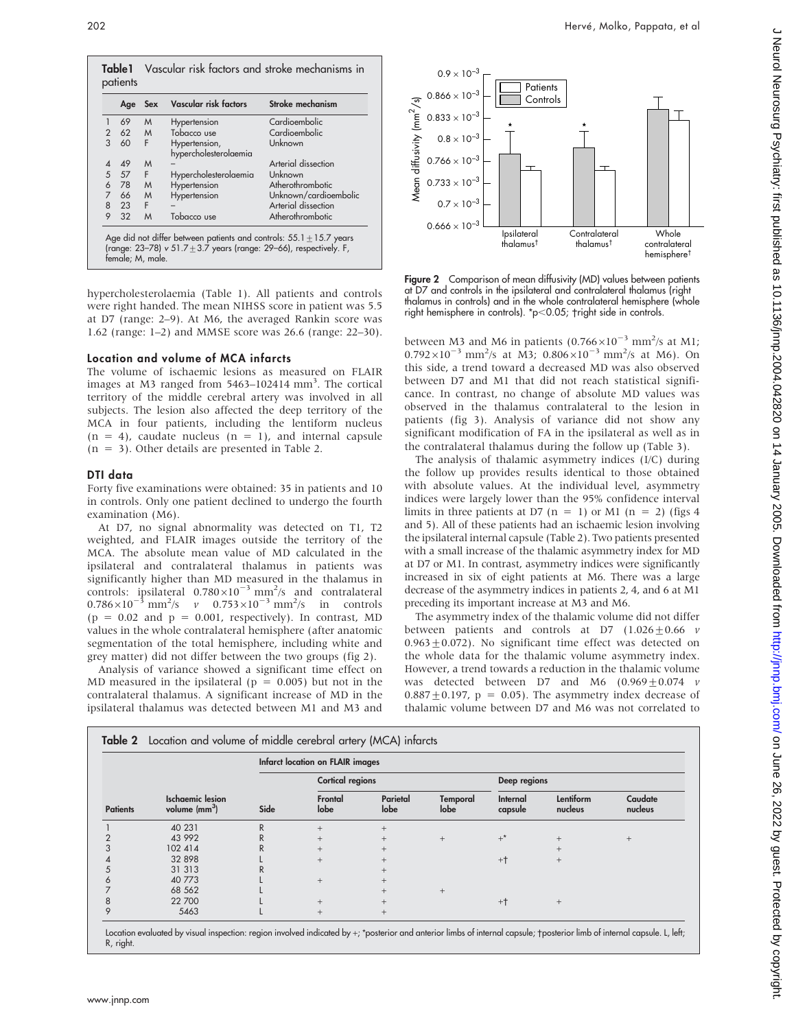

hypercholesterolaemia (Table 1). All patients and controls were right handed. The mean NIHSS score in patient was 5.5 at D7 (range: 2–9). At M6, the averaged Rankin score was 1.62 (range: 1–2) and MMSE score was 26.6 (range: 22–30).

#### Location and volume of MCA infarcts

The volume of ischaemic lesions as measured on FLAIR images at M3 ranged from 5463–102414 mm<sup>3</sup>. The cortical territory of the middle cerebral artery was involved in all subjects. The lesion also affected the deep territory of the MCA in four patients, including the lentiform nucleus  $(n = 4)$ , caudate nucleus  $(n = 1)$ , and internal capsule  $(n = 3)$ . Other details are presented in Table 2.

#### DTI data

Forty five examinations were obtained: 35 in patients and 10 in controls. Only one patient declined to undergo the fourth examination (M6).

At D7, no signal abnormality was detected on T1, T2 weighted, and FLAIR images outside the territory of the MCA. The absolute mean value of MD calculated in the ipsilateral and contralateral thalamus in patients was significantly higher than MD measured in the thalamus in controls: ipsilateral  $0.780 \times 10^{-3}$  mm<sup>2</sup>/s and contralateral  $0.786 \times 10^{-3}$  mm<sup>2</sup>/s v  $0.753 \times 10^{-3}$  mm<sup>2</sup>/s in controls  $(p = 0.02$  and  $p = 0.001$ , respectively). In contrast, MD values in the whole contralateral hemisphere (after anatomic segmentation of the total hemisphere, including white and grey matter) did not differ between the two groups (fig 2).

Analysis of variance showed a significant time effect on MD measured in the ipsilateral ( $p = 0.005$ ) but not in the contralateral thalamus. A significant increase of MD in the ipsilateral thalamus was detected between M1 and M3 and



Figure 2 Comparison of mean diffusivity (MD) values between patients at D7 and controls in the ipsilateral and contralateral thalamus (right thalamus in controls) and in the whole contralateral hemisphere (whole right hemisphere in controls).  $*p<0.05$ ;  $+$ right side in controls.

between M3 and M6 in patients  $(0.766\times10^{-3}$  mm<sup>2</sup>/s at M1;  $0.792 \times 10^{-3}$  mm<sup>2</sup>/s at M3;  $0.806 \times 10^{-3}$  mm<sup>2</sup>/s at M6). On this side, a trend toward a decreased MD was also observed between D7 and M1 that did not reach statistical significance. In contrast, no change of absolute MD values was observed in the thalamus contralateral to the lesion in patients (fig 3). Analysis of variance did not show any significant modification of FA in the ipsilateral as well as in the contralateral thalamus during the follow up (Table 3).

The analysis of thalamic asymmetry indices (I/C) during the follow up provides results identical to those obtained with absolute values. At the individual level, asymmetry indices were largely lower than the 95% confidence interval limits in three patients at D7 (n = 1) or M1 (n = 2) (figs 4 and 5). All of these patients had an ischaemic lesion involving the ipsilateral internal capsule (Table 2). Two patients presented with a small increase of the thalamic asymmetry index for MD at D7 or M1. In contrast, asymmetry indices were significantly increased in six of eight patients at M6. There was a large decrease of the asymmetry indices in patients 2, 4, and 6 at M1 preceding its important increase at M3 and M6.

The asymmetry index of the thalamic volume did not differ between patients and controls at D7  $(1.026 \pm 0.66 \text{ } v)$  $0.963 \pm 0.072$ ). No significant time effect was detected on the whole data for the thalamic volume asymmetry index. However, a trend towards a reduction in the thalamic volume was detected between D7 and M6  $(0.969 \pm 0.074 \text{ } v)$  $0.887 \pm 0.197$ , p = 0.05). The asymmetry index decrease of thalamic volume between D7 and M6 was not correlated to

| <b>Patients</b> | <b>Ischaemic</b> lesion<br>volume $\text{m}^3$ | Infarct location on FLAIR images |                         |                  |                  |                     |                      |                    |
|-----------------|------------------------------------------------|----------------------------------|-------------------------|------------------|------------------|---------------------|----------------------|--------------------|
|                 |                                                | Side                             | <b>Cortical regions</b> |                  |                  | Deep regions        |                      |                    |
|                 |                                                |                                  | Frontal<br>lobe         | Parietal<br>lobe | Temporal<br>lobe | Internal<br>capsule | Lentiform<br>nucleus | Caudate<br>nucleus |
|                 | 40 231                                         | R                                | $+$                     | $+$              |                  |                     |                      |                    |
|                 | 43 992                                         | R                                | $^{+}$                  | $+$              | $+$              | $+^*$               | $+$                  | $^{+}$             |
|                 | 102 414                                        | R                                | $+$                     | $+$              |                  |                     | $+$                  |                    |
|                 | 32 898                                         |                                  | $^{+}$                  | $+$              |                  | $+$                 | $+$                  |                    |
| 5               | 31 31 3                                        | R                                |                         | $+$              |                  |                     |                      |                    |
| O               | 40 773                                         |                                  | $+$                     | $+$              |                  |                     |                      |                    |
|                 | 68 562                                         |                                  |                         | $^{+}$           | $+$              |                     |                      |                    |
| 8               | 22 700                                         |                                  | $+$                     | $+$              |                  | $+$                 | $+$                  |                    |
| 9               | 5463                                           |                                  | $^{+}$                  | $+$              |                  |                     |                      |                    |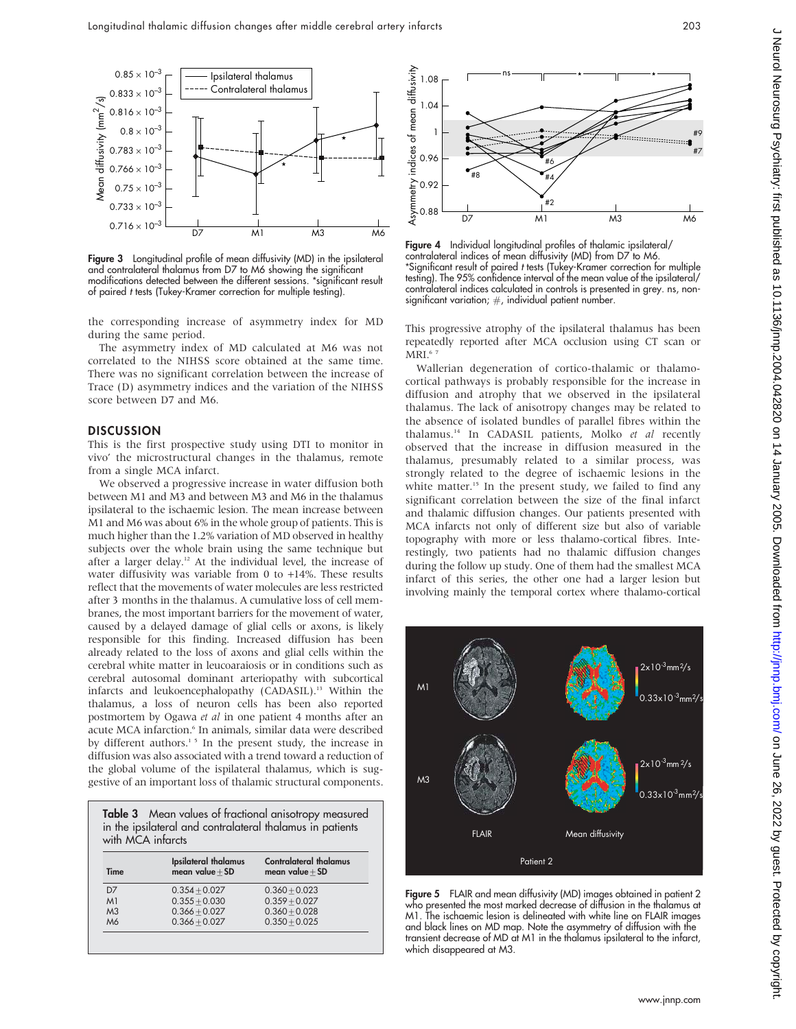

Figure 3 Longitudinal profile of mean diffusivity (MD) in the ipsilateral and contralateral thalamus from D7 to M6 showing the significant modifications detected between the different sessions. \*significant result of paired t tests (Tukey-Kramer correction for multiple testing).

the corresponding increase of asymmetry index for MD during the same period.

The asymmetry index of MD calculated at M6 was not correlated to the NIHSS score obtained at the same time. There was no significant correlation between the increase of Trace (D) asymmetry indices and the variation of the NIHSS score between D7 and M6.

#### **DISCUSSION**

This is the first prospective study using DTI to monitor in vivo' the microstructural changes in the thalamus, remote from a single MCA infarct.

We observed a progressive increase in water diffusion both between M1 and M3 and between M3 and M6 in the thalamus ipsilateral to the ischaemic lesion. The mean increase between M1 and M6 was about 6% in the whole group of patients. This is much higher than the 1.2% variation of MD observed in healthy subjects over the whole brain using the same technique but after a larger delay.<sup>12</sup> At the individual level, the increase of water diffusivity was variable from 0 to  $+14\%$ . These results reflect that the movements of water molecules are less restricted after 3 months in the thalamus. A cumulative loss of cell membranes, the most important barriers for the movement of water, caused by a delayed damage of glial cells or axons, is likely responsible for this finding. Increased diffusion has been already related to the loss of axons and glial cells within the cerebral white matter in leucoaraiosis or in conditions such as cerebral autosomal dominant arteriopathy with subcortical infarcts and leukoencephalopathy (CADASIL).<sup>13</sup> Within the thalamus, a loss of neuron cells has been also reported postmortem by Ogawa et al in one patient 4 months after an acute MCA infarction.<sup>6</sup> In animals, similar data were described by different authors.<sup>15</sup> In the present study, the increase in diffusion was also associated with a trend toward a reduction of the global volume of the ispilateral thalamus, which is suggestive of an important loss of thalamic structural components.

Table 3 Mean values of fractional anisotropy measured in the ipsilateral and contralateral thalamus in patients with MCA infarcts

| Time           | Ipsilateral thalamus<br>mean value $+$ SD | <b>Contralateral thalamus</b><br>mean value $+$ SD |
|----------------|-------------------------------------------|----------------------------------------------------|
| D <sub>7</sub> | $0.354 + 0.027$                           | $0.360 + 0.023$                                    |
| M <sub>1</sub> | $0.355 + 0.030$                           | $0.359 + 0.027$                                    |
| M <sub>3</sub> | $0.366 + 0.027$                           | $0.360 + 0.028$                                    |
| M6             | $0.366 + 0.027$                           | $0.350 + 0.025$                                    |
|                |                                           |                                                    |



Figure 4 Individual longitudinal profiles of thalamic ipsilateral/ contralateral indices of mean diffusivity (MD) from D7 to M6. \*Significant result of paired t tests (Tukey-Kramer correction for multiple testing). The 95% confidence interval of the mean value of the ipsilateral/ contralateral indices calculated in controls is presented in grey. ns, nonsignificant variation;  $#$ , individual patient number.

This progressive atrophy of the ipsilateral thalamus has been repeatedly reported after MCA occlusion using CT scan or  $\text{MRI}$ .6 7

Wallerian degeneration of cortico-thalamic or thalamocortical pathways is probably responsible for the increase in diffusion and atrophy that we observed in the ipsilateral thalamus. The lack of anisotropy changes may be related to the absence of isolated bundles of parallel fibres within the thalamus.<sup>14</sup> In CADASIL patients, Molko et al recently observed that the increase in diffusion measured in the thalamus, presumably related to a similar process, was strongly related to the degree of ischaemic lesions in the white matter.<sup>15</sup> In the present study, we failed to find any significant correlation between the size of the final infarct and thalamic diffusion changes. Our patients presented with MCA infarcts not only of different size but also of variable topography with more or less thalamo-cortical fibres. Interestingly, two patients had no thalamic diffusion changes during the follow up study. One of them had the smallest MCA infarct of this series, the other one had a larger lesion but involving mainly the temporal cortex where thalamo-cortical



Figure 5 FLAIR and mean diffusivity (MD) images obtained in patient 2 who presented the most marked decrease of diffusion in the thalamus at M1. The ischaemic lesion is delineated with white line on FLAIR images and black lines on MD map. Note the asymmetry of diffusion with the transient decrease of MD at M1 in the thalamus ipsilateral to the infarct, which disappeared at M3.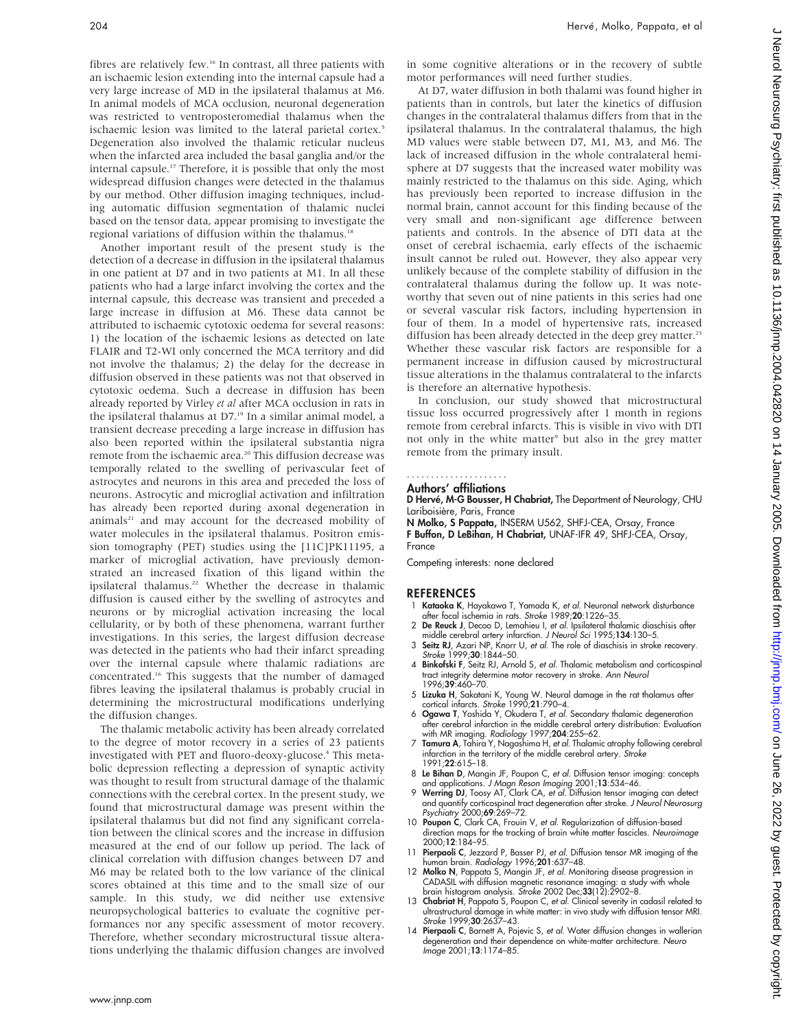fibres are relatively few.<sup>16</sup> In contrast, all three patients with an ischaemic lesion extending into the internal capsule had a very large increase of MD in the ipsilateral thalamus at M6. In animal models of MCA occlusion, neuronal degeneration was restricted to ventroposteromedial thalamus when the ischaemic lesion was limited to the lateral parietal cortex.<sup>5</sup> Degeneration also involved the thalamic reticular nucleus when the infarcted area included the basal ganglia and/or the internal capsule.17 Therefore, it is possible that only the most widespread diffusion changes were detected in the thalamus by our method. Other diffusion imaging techniques, including automatic diffusion segmentation of thalamic nuclei based on the tensor data, appear promising to investigate the regional variations of diffusion within the thalamus.<sup>18</sup>

Another important result of the present study is the detection of a decrease in diffusion in the ipsilateral thalamus in one patient at D7 and in two patients at M1. In all these patients who had a large infarct involving the cortex and the internal capsule, this decrease was transient and preceded a large increase in diffusion at M6. These data cannot be attributed to ischaemic cytotoxic oedema for several reasons: 1) the location of the ischaemic lesions as detected on late FLAIR and T2-WI only concerned the MCA territory and did not involve the thalamus; 2) the delay for the decrease in diffusion observed in these patients was not that observed in cytotoxic oedema. Such a decrease in diffusion has been already reported by Virley et al after MCA occlusion in rats in the ipsilateral thalamus at D7.<sup>19</sup> In a similar animal model, a transient decrease preceding a large increase in diffusion has also been reported within the ipsilateral substantia nigra remote from the ischaemic area.<sup>20</sup> This diffusion decrease was temporally related to the swelling of perivascular feet of astrocytes and neurons in this area and preceded the loss of neurons. Astrocytic and microglial activation and infiltration has already been reported during axonal degeneration in animals<sup>21</sup> and may account for the decreased mobility of water molecules in the ipsilateral thalamus. Positron emission tomography (PET) studies using the [11C]PK11195, a marker of microglial activation, have previously demonstrated an increased fixation of this ligand within the ipsilateral thalamus.<sup>22</sup> Whether the decrease in thalamic diffusion is caused either by the swelling of astrocytes and neurons or by microglial activation increasing the local cellularity, or by both of these phenomena, warrant further investigations. In this series, the largest diffusion decrease was detected in the patients who had their infarct spreading over the internal capsule where thalamic radiations are concentrated.16 This suggests that the number of damaged fibres leaving the ipsilateral thalamus is probably crucial in determining the microstructural modifications underlying the diffusion changes.

The thalamic metabolic activity has been already correlated to the degree of motor recovery in a series of 23 patients investigated with PET and fluoro-deoxy-glucose.4 This metabolic depression reflecting a depression of synaptic activity was thought to result from structural damage of the thalamic connections with the cerebral cortex. In the present study, we found that microstructural damage was present within the ipsilateral thalamus but did not find any significant correlation between the clinical scores and the increase in diffusion measured at the end of our follow up period. The lack of clinical correlation with diffusion changes between D7 and M6 may be related both to the low variance of the clinical scores obtained at this time and to the small size of our sample. In this study, we did neither use extensive neuropsychological batteries to evaluate the cognitive performances nor any specific assessment of motor recovery. Therefore, whether secondary microstructural tissue alterations underlying the thalamic diffusion changes are involved in some cognitive alterations or in the recovery of subtle motor performances will need further studies.

At D7, water diffusion in both thalami was found higher in patients than in controls, but later the kinetics of diffusion changes in the contralateral thalamus differs from that in the ipsilateral thalamus. In the contralateral thalamus, the high MD values were stable between D7, M1, M3, and M6. The lack of increased diffusion in the whole contralateral hemisphere at D7 suggests that the increased water mobility was mainly restricted to the thalamus on this side. Aging, which has previously been reported to increase diffusion in the normal brain, cannot account for this finding because of the very small and non-significant age difference between patients and controls. In the absence of DTI data at the onset of cerebral ischaemia, early effects of the ischaemic insult cannot be ruled out. However, they also appear very unlikely because of the complete stability of diffusion in the contralateral thalamus during the follow up. It was noteworthy that seven out of nine patients in this series had one or several vascular risk factors, including hypertension in four of them. In a model of hypertensive rats, increased diffusion has been already detected in the deep grey matter.<sup>23</sup> Whether these vascular risk factors are responsible for a permanent increase in diffusion caused by microstructural tissue alterations in the thalamus contralateral to the infarcts is therefore an alternative hypothesis.

In conclusion, our study showed that microstructural tissue loss occurred progressively after 1 month in regions remote from cerebral infarcts. This is visible in vivo with DTI not only in the white matter<sup>9</sup> but also in the grey matter remote from the primary insult.

### .....................

Authors' affiliations

D Hervé, M-G Bousser, H Chabriat, The Department of Neurology, CHU Lariboisière, Paris, France

N Molko, S Pappata, INSERM U562, SHFJ-CEA, Orsay, France F Buffon, D LeBihan, H Chabriat, UNAF-IFR 49, SHFJ-CEA, Orsay, France

Competing interests: none declared

#### **REFERENCES**

- 1 Kataoka K, Hayakawa T, Yamada K, et al. Neuronal network disturbance after focal ischemia in rats. Stroke 1989;20:1226–35.
- 2 De Reuck J, Decoo D, Lemahieu I, et al. Ipsilateral thalamic diaschisis after middle cerebral artery infarction. J Neurol Sci 1995;134:130–5.
- 3 Seitz RJ, Azari NP, Knorr U, et al. The role of diaschisis in stroke recovery. Stroke 1999;30:1844–50.
- 4 Binkofski F, Seitz RJ, Arnold S, et al. Thalamic metabolism and corticospinal tract integrity determine motor recovery in stroke. Ann Neurol 1996;39:460–70.
- 5 Lizuka H, Sakatani K, Young W. Neural damage in the rat thalamus after cortical infarcts. Stroke 1990;21:790–4.
- 6 Ogawa T, Yoshida Y, Okudera T, et al. Secondary thalamic degeneration after cerebral infarction in the middle cerebral artery distribution: Evaluation with MR imaging. Radiology 1997;204:255-62.
- 7 Tamura A, Tahira Y, Nagashima H, et al. Thalamic atrophy following cerebral infarction in the territory of the middle cerebral artery. Stroke 1991;22:615–18.
- 8 Le Bihan D, Mangin JF, Poupon C, et al. Diffusion tensor imaging: concepts
- and applications. *J Magn Reson Imaging* 2001;**13**:534–46.<br>9 Werring DJ, Toosy AT, Clark CA, *et al.* Diffusion tensor imaging can detect and quantify corticospinal tract degeneration after stroke. J Neurol Neurosurg Psychiatry 2000;69:269–72.
- 10 Poupon C, Clark CA, Frouin V, et al. Regularization of diffusion-based direction maps for the tracking of brain white matter fascicles. Neuroimage 2000;12:184–95.
- 11 Pierpaoli C, Jezzard P, Basser PJ, et al. Diffusion tensor MR imaging of the human brain. Radiology 1996;201:637–48.
- 12 Molko N, Pappata S, Mangin JF, et al. Monitoring disease progression in CADASIL with diffusion magnetic resonance imaging: a study with whole brain histogram analysis. Stroke 2002 Dec;33(12):2902–8.
- 13 Chabriat H, Pappata S, Poupon C, et al. Clinical severity in cadasil related to ultrastructural damage in white matter: in vivo study with diffusion tensor MRI. Stroke 1999;30:2637–43.
- 14 Pierpaoli C, Barnett A, Pajevic S, et al. Water diffusion changes in wallerian degeneration and their dependence on white-matter architecture. Neuro Image 2001;13:1174–85.